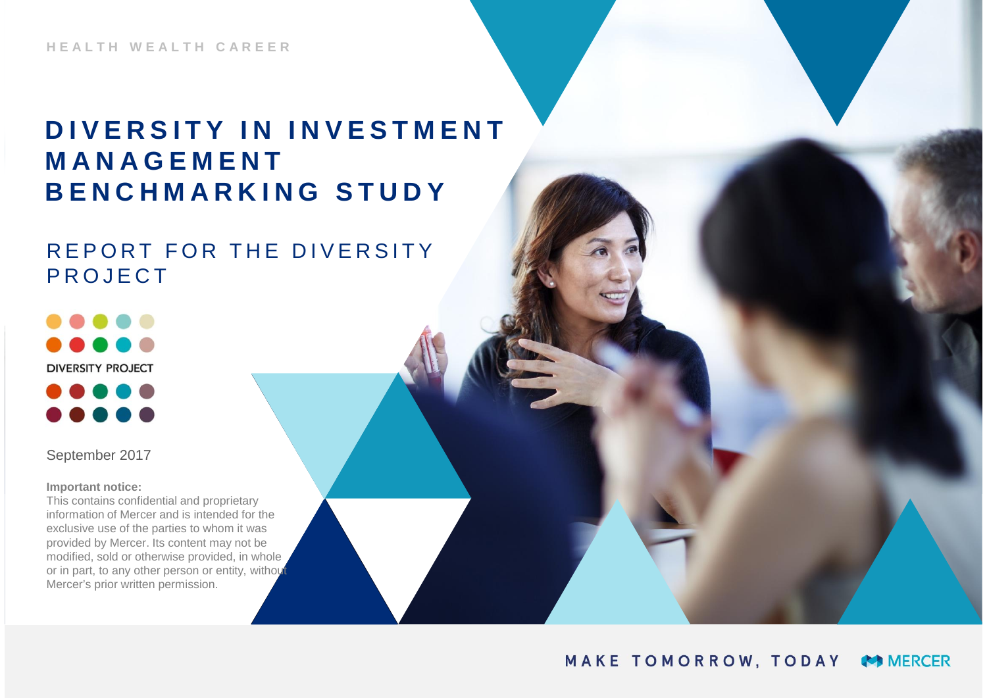**HEALTH WEALTH CAREER**

# **DIVERSITY IN INVESTMENT MANAGEMENT BENCHMARKING STUDY**

### REPORT FOR THE DIVERSITY PROJECT

DOO **DIVERSITY PROJECT** 

September 2017

**Important notice:**

This contains confidential and proprietary information of Mercer and is intended for the exclusive use of the parties to whom it was provided by Mercer. Its content may not be modified, sold or otherwise provided, in whole or in part, to any other person or entity, without Mercer's prior written permission.

#### MAKE TOMORROW, TODAY **MERCER**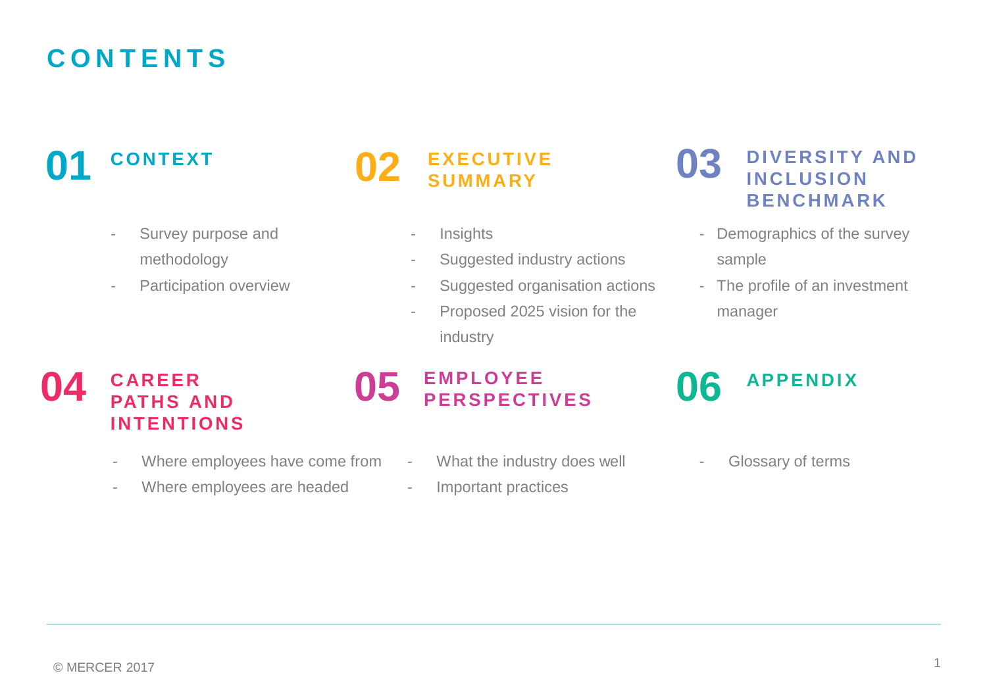# **CONTENTS**

### **01 02 CONTEXT**

- Survey purpose and methodology
- Participation overview

### **EXECUTIVE SUMMARY**

- Insights
- Suggested industry actions
- Suggested organisation actions
- Proposed 2025 vision for the industry

### **03 DIVERSITY AND INCLUSION BENCHMARK**

- Demographics of the survey sample
- The profile of an investment manager

### **04** CAREER **05 CAREER INTENTIONS**

- Where employees have come from
- Where employees are headed

### **EMPLOYEE PERSPECTIVES**

- What the industry does well
- Important practices

### **06 APPENDIX**

- Glossary of terms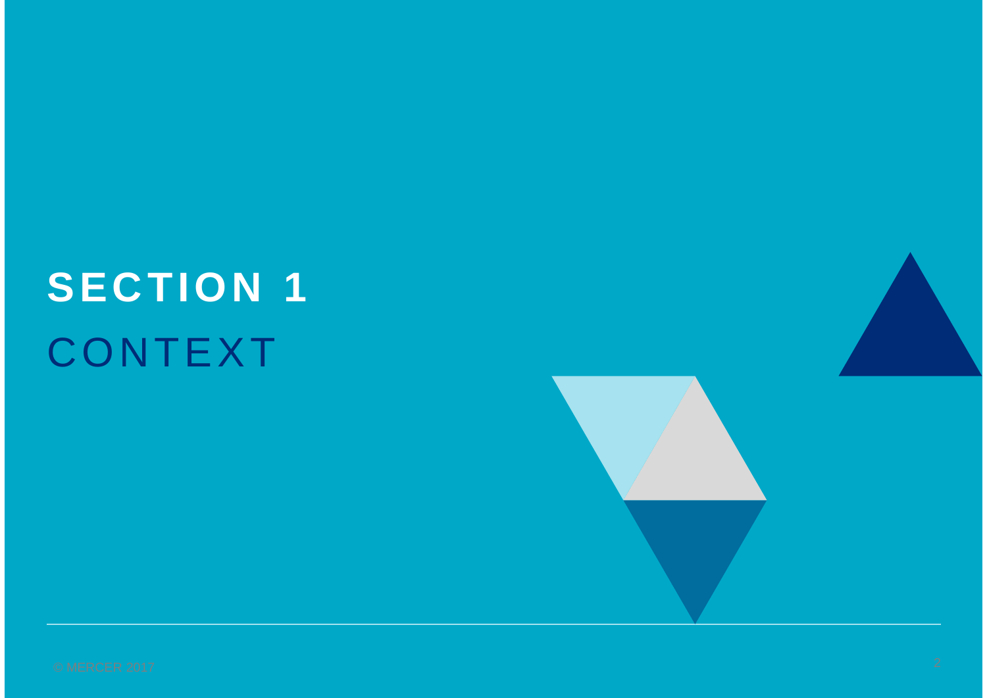# **SECTION 1** CONTEXT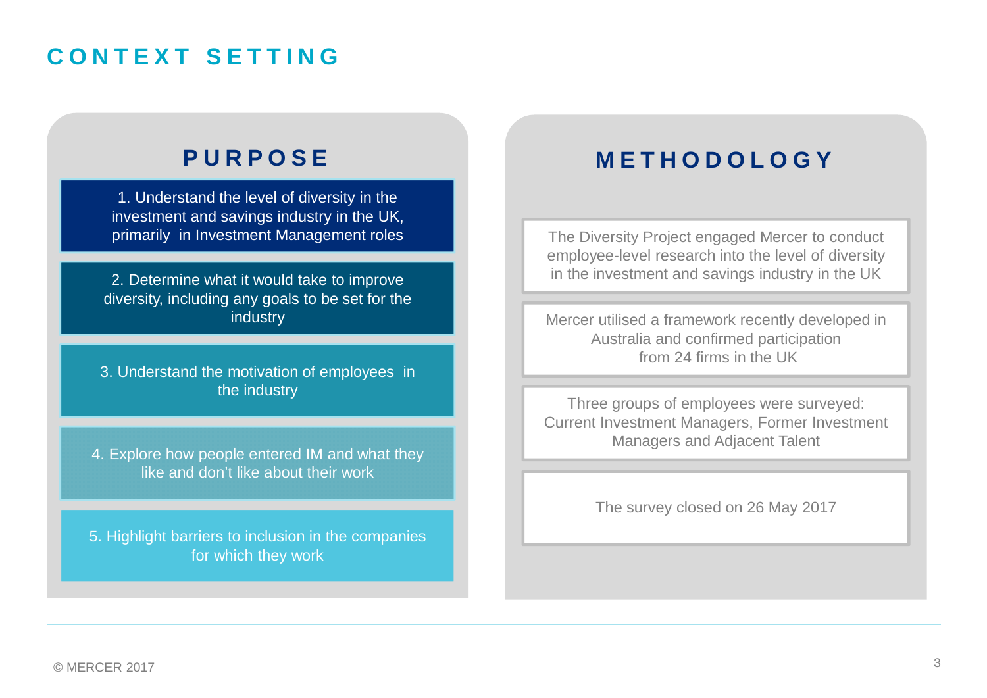# **CONTEXT SETTING**

1. Understand the level of diversity in the investment and savings industry in the UK, primarily in Investment Management roles

2. Determine what it would take to improve diversity, including any goals to be set for the industry

3. Understand the motivation of employees in the industry

4. Explore how people entered IM and what they like and don't like about their work

5. Highlight barriers to inclusion in the companies for which they work

## **PURPOSE METHODOLOGY**

The Diversity Project engaged Mercer to conduct employee-level research into the level of diversity in the investment and savings industry in the UK

Mercer utilised a framework recently developed in Australia and confirmed participation from 24 firms in the UK

Three groups of employees were surveyed: Current Investment Managers, Former Investment Managers and Adjacent Talent

The survey closed on 26 May 2017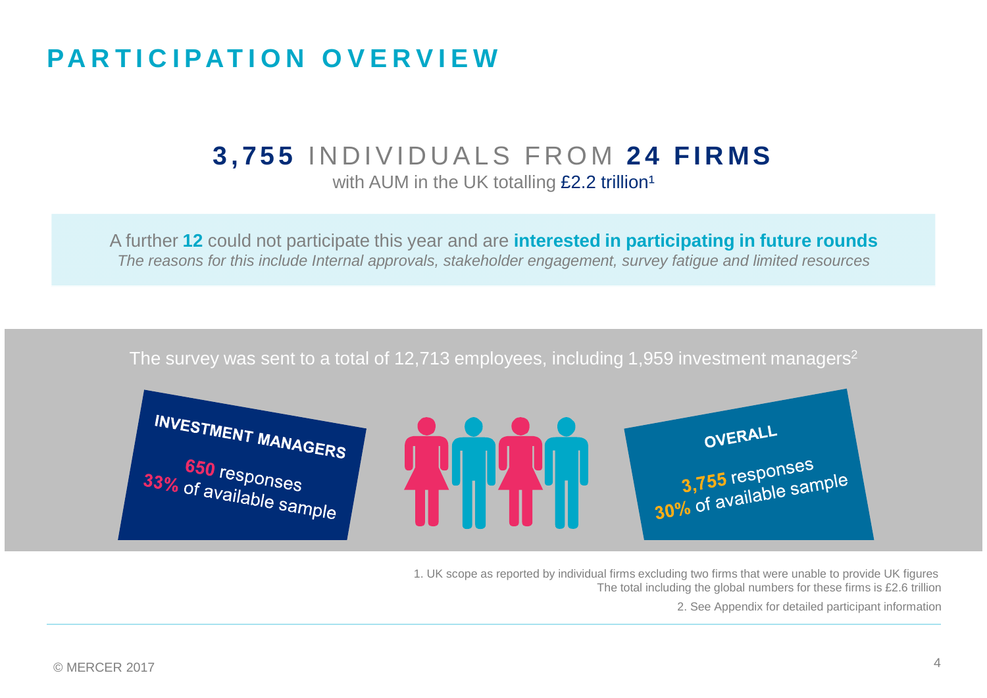# **PARTICIPATION OVERVIEW**

### **3,755** INDIVIDUALS FROM **24 FIRMS** with AUM in the UK totalling  $£2.2$  trillion<sup>1</sup>

A further **12** could not participate this year and are **interested in participating in future rounds** *The reasons for this include Internal approvals, stakeholder engagement, survey fatigue and limited resources*

### The survey was sent to a total of 12,713 employees, including 1,959 investment managers<sup>2</sup>



1. UK scope as reported by individual firms excluding two firms that were unable to provide UK figures The total including the global numbers for these firms is £2.6 trillion

2. See Appendix for detailed participant information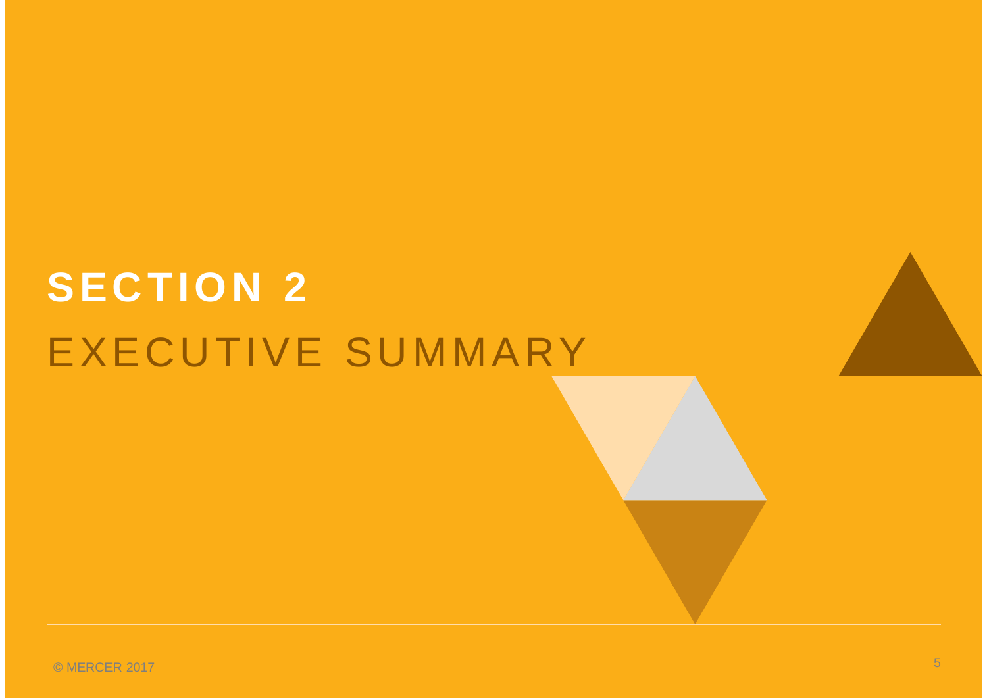# **SECTION 2** EXECUTIVE SUMMARY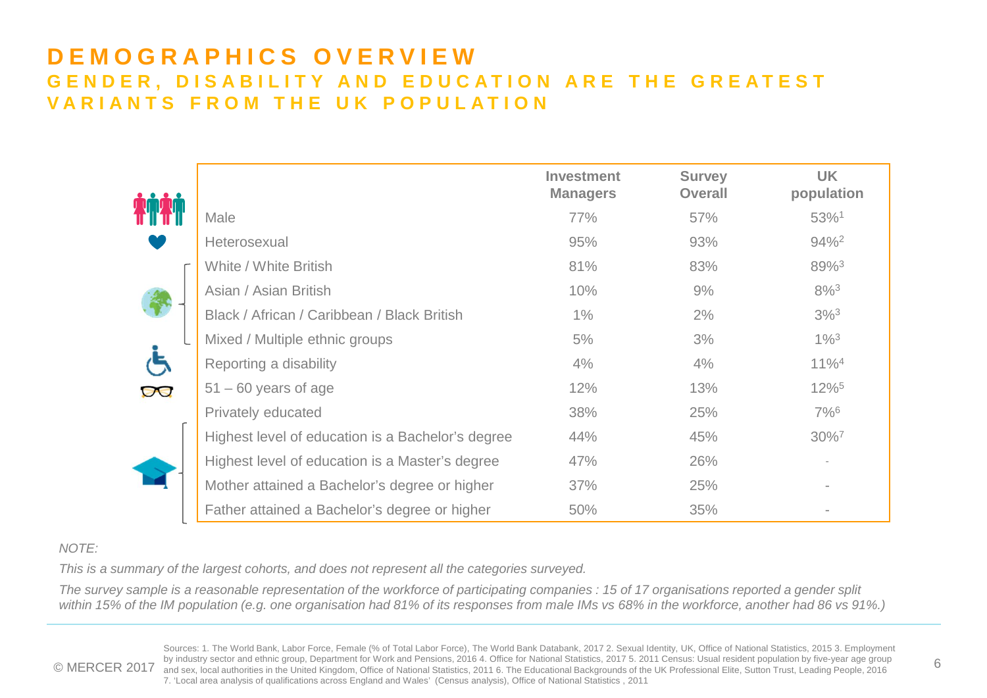### **DEMOGRAPHICS OVERVIEW GENDER, DISABILITY AND EDUCATION ARE THE GREATEST VARIANTS FROM THE UK POPULATION**

|  |                                                   | <b>Investment</b><br><b>Managers</b> | <b>Survey</b><br><b>Overall</b> | <b>UK</b><br>population |
|--|---------------------------------------------------|--------------------------------------|---------------------------------|-------------------------|
|  | Male                                              | 77%                                  | 57%                             | 53%1                    |
|  | Heterosexual                                      | 95%                                  | 93%                             | $94\%$ <sup>2</sup>     |
|  | White / White British                             | 81%                                  | 83%                             | 89%3                    |
|  | Asian / Asian British                             | 10%                                  | 9%                              | $8\%^{3}$               |
|  | Black / African / Caribbean / Black British       | $1\%$                                | 2%                              | $3\%$ <sup>3</sup>      |
|  | Mixed / Multiple ethnic groups                    | 5%                                   | 3%                              | $1\%^{3}$               |
|  | Reporting a disability                            | 4%                                   | 4%                              | $11\%$ <sup>4</sup>     |
|  | $51 - 60$ years of age                            | 12%                                  | 13%                             | $12\%$ <sup>5</sup>     |
|  | Privately educated                                | 38%                                  | 25%                             | $7\%$ <sup>6</sup>      |
|  | Highest level of education is a Bachelor's degree | 44%                                  | 45%                             | 30%7                    |
|  | Highest level of education is a Master's degree   | 47%                                  | 26%                             |                         |
|  | Mother attained a Bachelor's degree or higher     | 37%                                  | 25%                             |                         |
|  | Father attained a Bachelor's degree or higher     | 50%                                  | 35%                             |                         |

### *NOTE:*

*This is a summary of the largest cohorts, and does not represent all the categories surveyed.*

*The survey sample is a reasonable representation of the workforce of participating companies : 15 of 17 organisations reported a gender split within 15% of the IM population (e.g. one organisation had 81% of its responses from male IMs vs 68% in the workforce, another had 86 vs 91%.)*

© MERCER 2017 and sex, local authorities in the United Kingdom, Office of National Statistics, 2011 6. The Educational Statistics, 2017 5. 2011 Census: Usual resident population by five-year age group 6<br>© MERCER 2017 and s Sources: 1. The World Bank, Labor Force, Female (% of Total Labor Force), The World Bank Databank, 2017 2. Sexual Identity, UK, Office of National Statistics, 2015 3. Employment by industry sector and ethnic group, Department for Work and Pensions, 2016 4. Office for National Statistics, 2017 5. 2011 Census: Usual resident population by five-year age group 7. 'Local area analysis of qualifications across England and Wales' (Census analysis), Office of National Statistics , 2011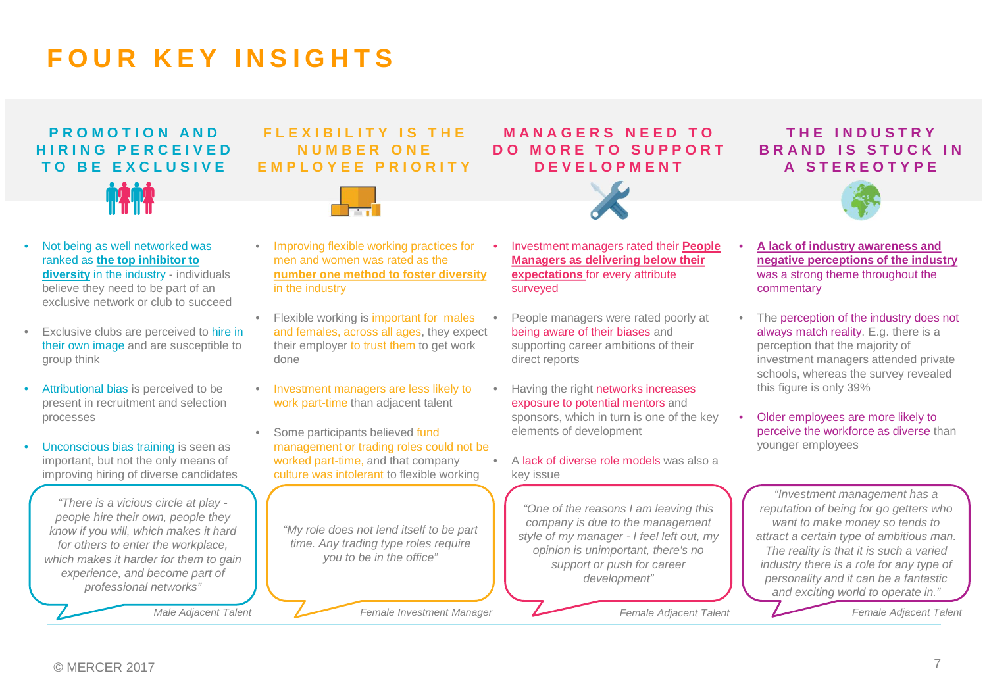# **FOUR KEY INSIGHTS**

# **PROMOTION AND HIRING PERCEIVED TO BE EXCLUSIVE**

### **FLEXIBILITY IS THE NUMBER ONE EMPLOYEE PRIORITY**



### **MANAGERS NEED TO DO MORE TO SUPPORT DEVELOPMENT**



### **THE INDUSTRY BRAND IS STUCK IN A STEREOTYPE**



- Not being as well networked was ranked as **the top inhibitor to diversity** in the industry - individuals believe they need to be part of an exclusive network or club to succeed • Improving flexible working practices for in the industry
- Exclusive clubs are perceived to hire in their own image and are susceptible to group think
- Attributional bias is perceived to be present in recruitment and selection processes
- Unconscious bias training is seen as important, but not the only means of improving hiring of diverse candidates

*"There is a vicious circle at play people hire their own, people they know if you will, which makes it hard for others to enter the workplace, which makes it harder for them to gain experience, and become part of professional networks"*

*Male Adjacent Talent*

- men and women was rated as the **number one method to foster diversity**
- Flexible working is important for males and females, across all ages, they expect their employer to trust them to get work done
- Investment managers are less likely to work part-time than adjacent talent
- Some participants believed fund management or trading roles could not be worked part-time, and that company culture was intolerant to flexible working

*"My role does not lend itself to be part time. Any trading type roles require you to be in the office"*

*Female Investment Manager Female Adjacent Talent Female Adjacent Talent*

- Investment managers rated their **People Managers as delivering below their expectations** for every attribute surveyed
	- People managers were rated poorly at being aware of their biases and supporting career ambitions of their direct reports
- Having the right networks increases exposure to potential mentors and sponsors, which in turn is one of the key elements of development
- A lack of diverse role models was also a key issue

*"One of the reasons I am leaving this company is due to the management style of my manager - I feel left out, my opinion is unimportant, there's no support or push for career development"*

• **A lack of industry awareness and negative perceptions of the industry** was a strong theme throughout the

commentary

- The perception of the industry does not always match reality. E.g. there is a perception that the majority of investment managers attended private schools, whereas the survey revealed this figure is only 39%
- Older employees are more likely to perceive the workforce as diverse than younger employees

*"Investment management has a reputation of being for go getters who want to make money so tends to attract a certain type of ambitious man. The reality is that it is such a varied industry there is a role for any type of personality and it can be a fantastic and exciting world to operate in."*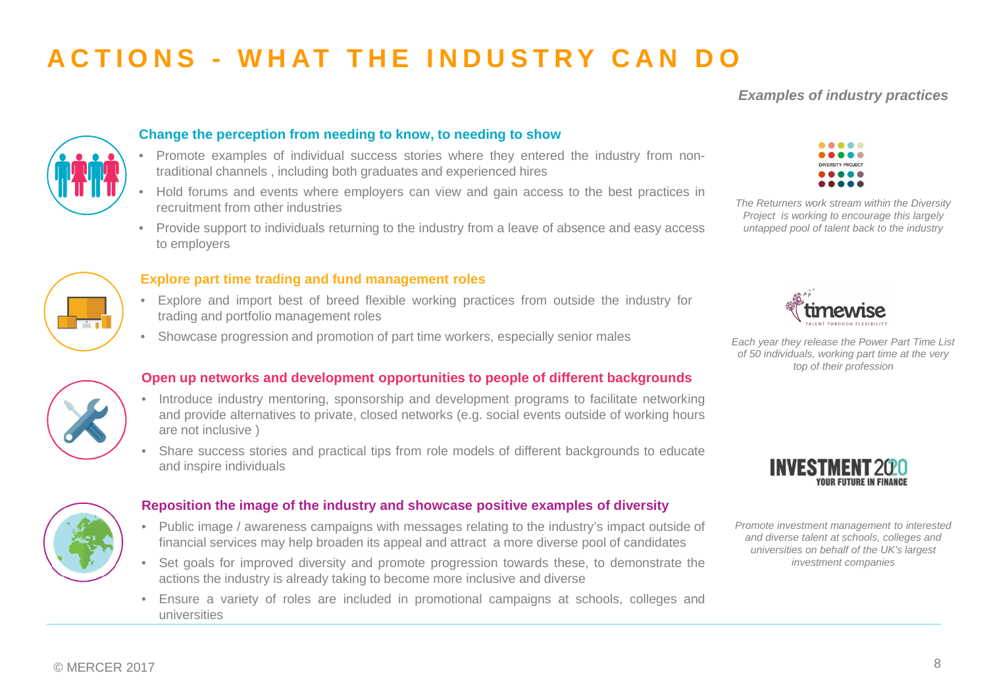# **ACTIONS - WHAT THE INDUSTRY CAN DO**

### *Examples of industry practices*



#### **Change the perception from needing to know, to needing to show**

- Promote examples of individual success stories where they entered the industry from nontraditional channels , including both graduates and experienced hires
- Hold forums and events where employers can view and gain access to the best practices in recruitment from other industries
- Provide support to individuals returning to the industry from a leave of absence and easy access to employers



#### **Explore part time trading and fund management roles**

- Explore and import best of breed flexible working practices from outside the industry for trading and portfolio management roles
- Showcase progression and promotion of part time workers, especially senior males



*The Returners work stream within the Diversity Project is working to encourage this largely untapped pool of talent back to the industry*



*Each year they release the Power Part Time List of 50 individuals, working part time at the very top of their profession*



#### **Open up networks and development opportunities to people of different backgrounds**

- Introduce industry mentoring, sponsorship and development programs to facilitate networking and provide alternatives to private, closed networks (e.g. social events outside of working hours are not inclusive )
- Share success stories and practical tips from role models of different backgrounds to educate and inspire individuals



#### **Reposition the image of the industry and showcase positive examples of diversity**

- Public image / awareness campaigns with messages relating to the industry's impact outside of financial services may help broaden its appeal and attract a more diverse pool of candidates
- Set goals for improved diversity and promote progression towards these, to demonstrate the actions the industry is already taking to become more inclusive and diverse
- Ensure a variety of roles are included in promotional campaigns at schools, colleges and universities



*Promote investment management to interested and diverse talent at schools, colleges and universities on behalf of the UK's largest investment companies*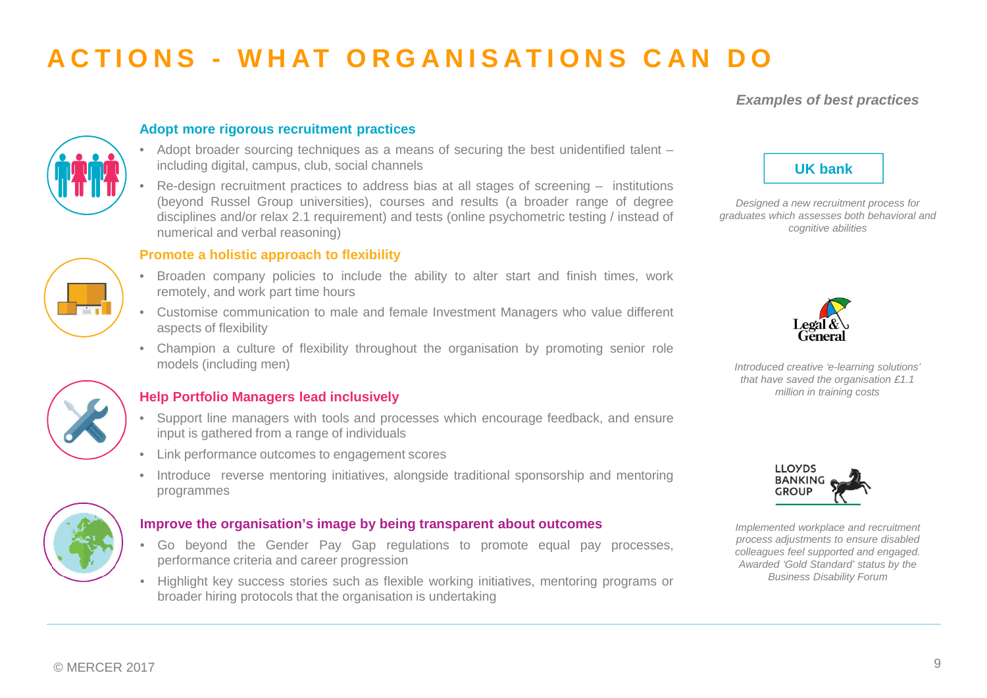# **ACTIONS - WHAT ORGANISATIONS CAN DO**

### *Examples of best practices*



#### **Adopt more rigorous recruitment practices**

- Adopt broader sourcing techniques as a means of securing the best unidentified talent including digital, campus, club, social channels
- Re-design recruitment practices to address bias at all stages of screening institutions (beyond Russel Group universities), courses and results (a broader range of degree disciplines and/or relax 2.1 requirement) and tests (online psychometric testing / instead of numerical and verbal reasoning)

#### **Promote a holistic approach to flexibility**

- Broaden company policies to include the ability to alter start and finish times, work remotely, and work part time hours
- Customise communication to male and female Investment Managers who value different aspects of flexibility
- Champion a culture of flexibility throughout the organisation by promoting senior role models (including men)



### **Help Portfolio Managers lead inclusively**

- Support line managers with tools and processes which encourage feedback, and ensure input is gathered from a range of individuals
- Link performance outcomes to engagement scores
- Introduce reverse mentoring initiatives, alongside traditional sponsorship and mentoring programmes



#### **Improve the organisation's image by being transparent about outcomes**

- Go beyond the Gender Pay Gap regulations to promote equal pay processes, performance criteria and career progression
- Highlight key success stories such as flexible working initiatives, mentoring programs or broader hiring protocols that the organisation is undertaking



*Designed a new recruitment process for graduates which assesses both behavioral and cognitive abilities*



*Introduced creative 'e-learning solutions' that have saved the organisation £1.1 million in training costs*



*Implemented workplace and recruitment process adjustments to ensure disabled colleagues feel supported and engaged. Awarded 'Gold Standard' status by the Business Disability Forum*

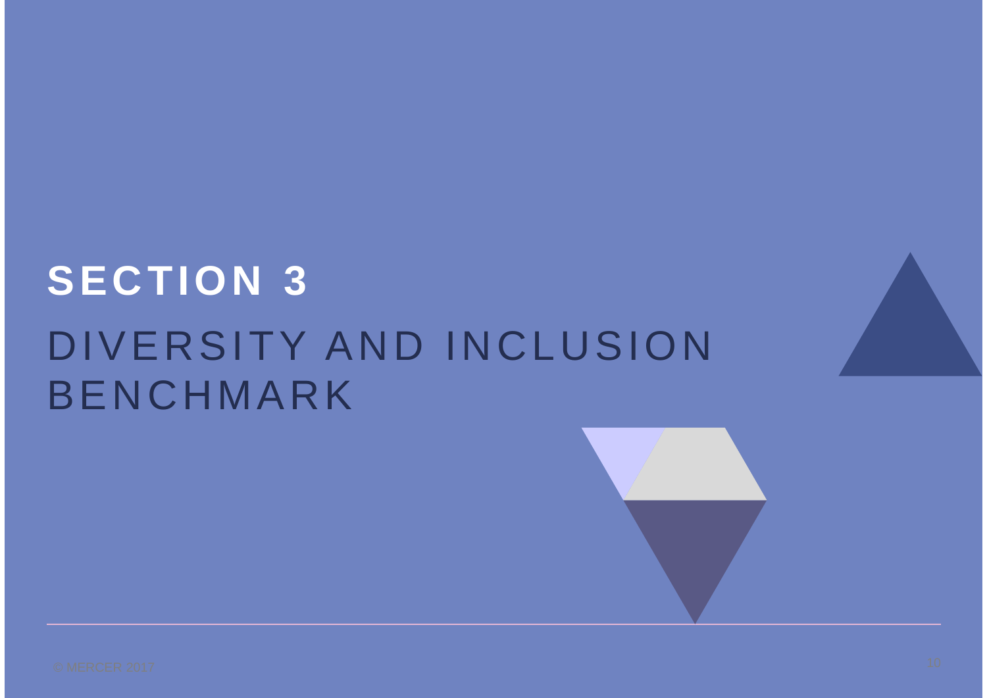# **SECTION 3** DIVERSITY AND INCLUSION BENCHMARK

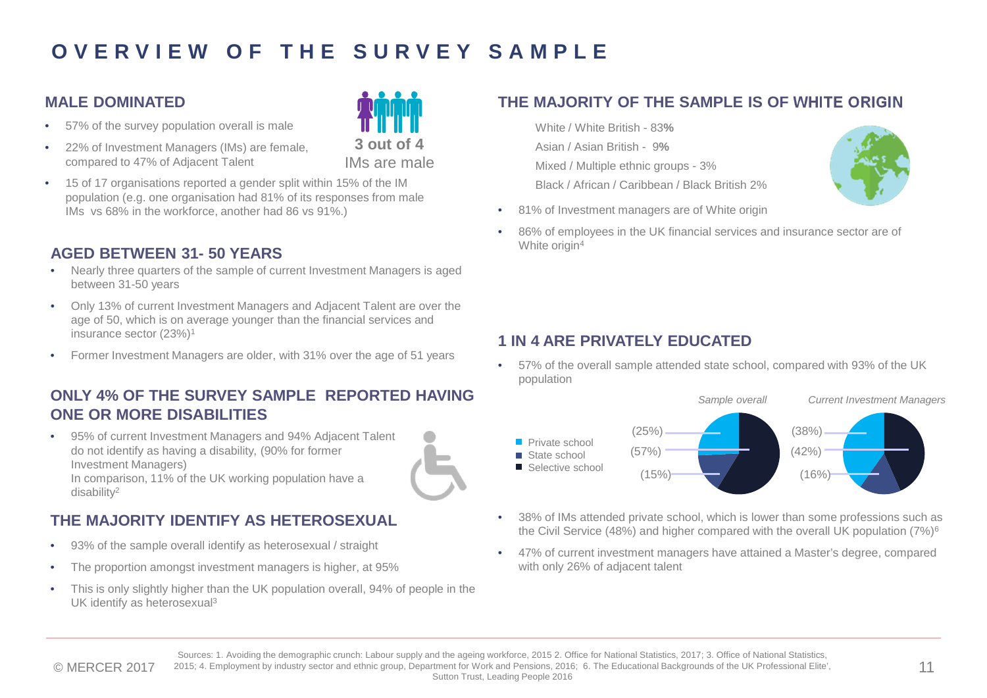## **OVERVIEW OF THE SURVEY SAMPLE**

### **MALE DOMINATED**

- 57% of the survey population overall is male
- 22% of Investment Managers (IMs) are female, compared to 47% of Adjacent Talent



• 15 of 17 organisations reported a gender split within 15% of the IM population (e.g. one organisation had 81% of its responses from male IMs vs 68% in the workforce, another had 86 vs 91%.)

### **AGED BETWEEN 31- 50 YEARS**

- Nearly three quarters of the sample of current Investment Managers is aged between 31-50 years
- Only 13% of current Investment Managers and Adjacent Talent are over the age of 50, which is on average younger than the financial services and insurance sector (23%)<sup>1</sup>
- Former Investment Managers are older, with 31% over the age of 51 years

### **ONLY 4% OF THE SURVEY SAMPLE REPORTED HAVING ONE OR MORE DISABILITIES**

• 95% of current Investment Managers and 94% Adjacent Talent do not identify as having a disability, (90% for former Investment Managers) In comparison, 11% of the UK working population have a disability<sup>2</sup>

### **THE MAJORITY IDENTIFY AS HETEROSEXUAL**

- 93% of the sample overall identify as heterosexual / straight
- The proportion amongst investment managers is higher, at 95%
- This is only slightly higher than the UK population overall, 94% of people in the UK identify as heterosexual<sup>3</sup>

### **THE MAJORITY OF THE SAMPLE IS OF WHITE ORIGIN**

White / White British - 83**%** Asian / Asian British - 9**%** Mixed / Multiple ethnic groups - 3% Black / African / Caribbean / Black British 2%



- 81% of Investment managers are of White origin
- 86% of employees in the UK financial services and insurance sector are of White origin<sup>4</sup>

### **1 IN 4 ARE PRIVATELY EDUCATED**

• 57% of the overall sample attended state school, compared with 93% of the UK population



- 38% of IMs attended private school, which is lower than some professions such as the Civil Service (48%) and higher compared with the overall UK population (7%)<sup>6</sup>
- 47% of current investment managers have attained a Master's degree, compared with only 26% of adjacent talent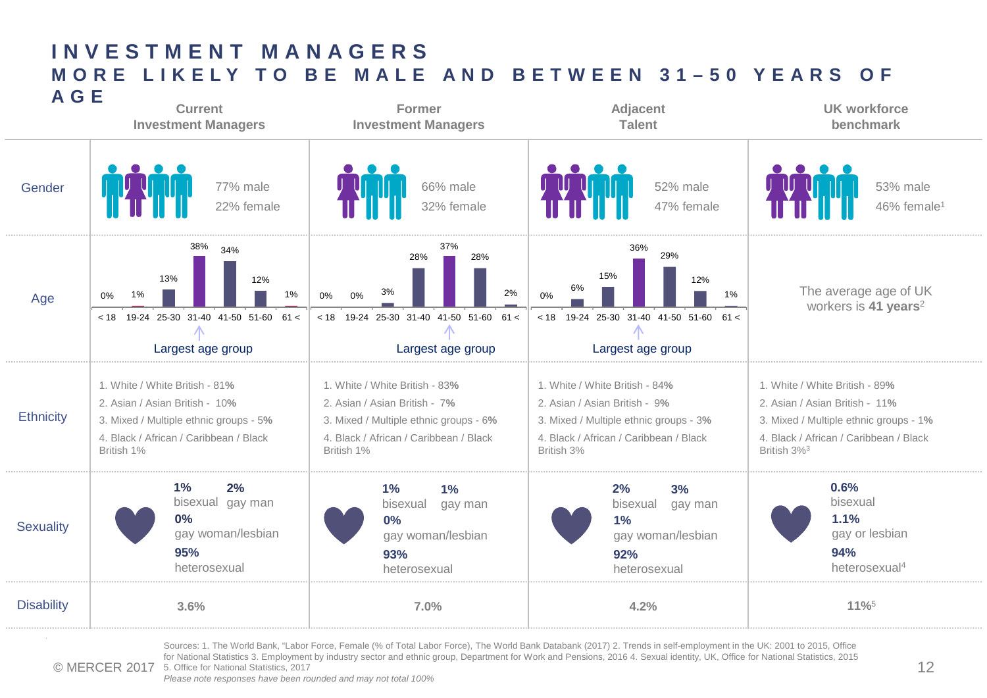

© MERCER 2017 5. Office for National Statistics, 2017 Sources: 1. The World Bank, "Labor Force, Female (% of Total Labor Force), The World Bank Databank (2017) 2. Trends in self-employment in the UK: 2001 to 2015, Office for National Statistics 3. Employment by industry sector and ethnic group, Department for Work and Pensions, 2016 4. Sexual identity, UK, Office for National Statistics, 2015

*Please note responses have been rounded and may not total 100%*

**INVESTMENT MANAGERS**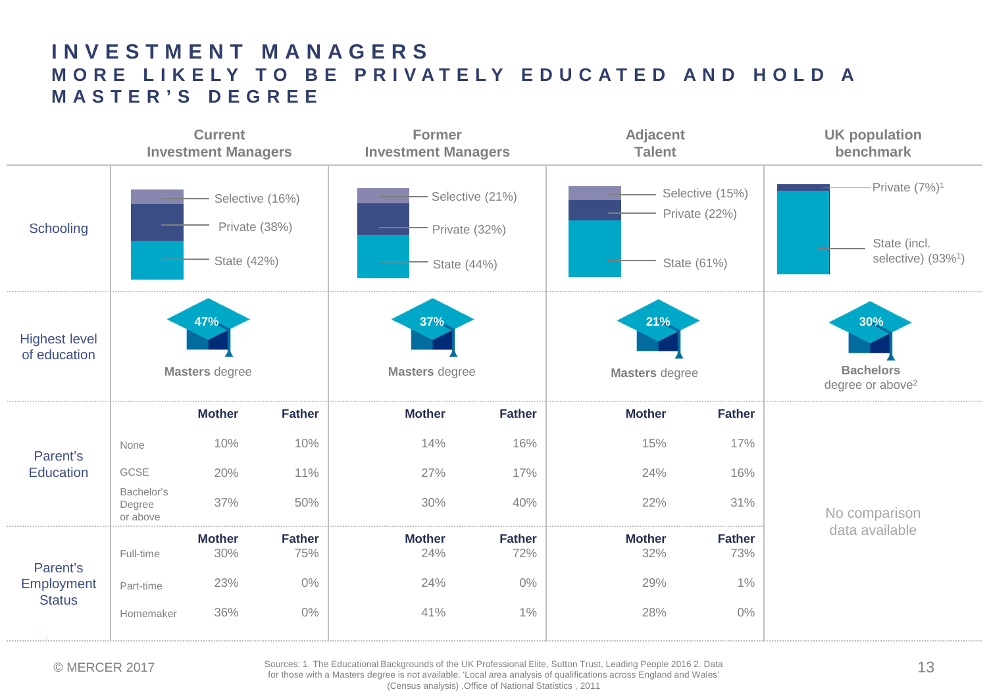### **INVESTMENT MANAGERS MORE LIKELY TO BE PRIVATELY EDUCATED AND HOLD A MASTER'S DEGREE**



© MERCER 2017 Sources: 1. The Educational Backgrounds of the UK Professional Elite, Sutton Trust, Leading People 2016 2. Data<br>for these with a Masters degree is not available. 'Local area analysis of gualifications across for those with a Masters degree is not available. 'Local area analysis of qualifications across England and Wales' (Census analysis) ,Office of National Statistics , 2011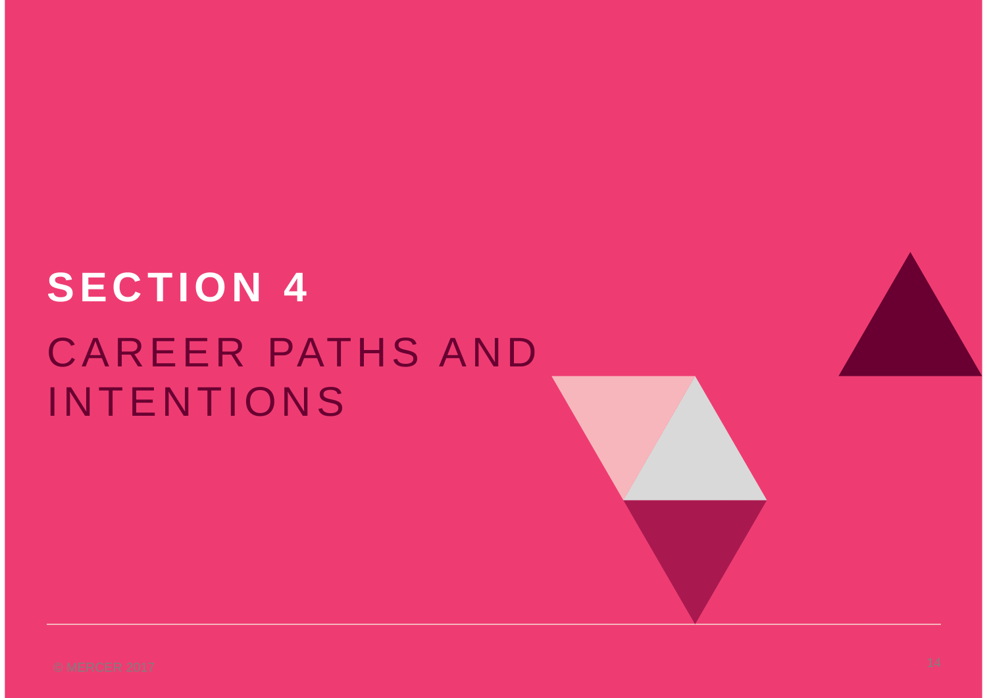# **SECTION 4** CAREER PATHS AND INTENTIONS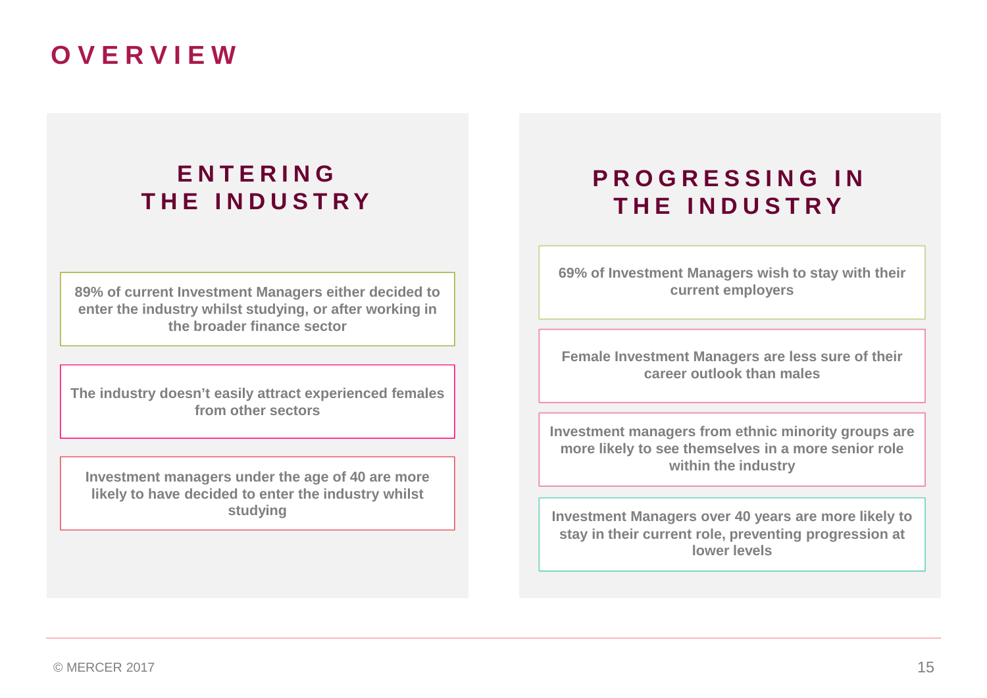# **OVERVIEW**

## **ENTERING THE INDUSTRY**

**89% of current Investment Managers either decided to enter the industry whilst studying, or after working in the broader finance sector**

**The industry doesn't easily attract experienced females from other sectors**

**Investment managers under the age of 40 are more likely to have decided to enter the industry whilst studying**

## **PROGRESSING IN THE INDUSTRY**

**69% of Investment Managers wish to stay with their current employers**

**Female Investment Managers are less sure of their career outlook than males**

**Investment managers from ethnic minority groups are more likely to see themselves in a more senior role within the industry**

**Investment Managers over 40 years are more likely to stay in their current role, preventing progression at lower levels**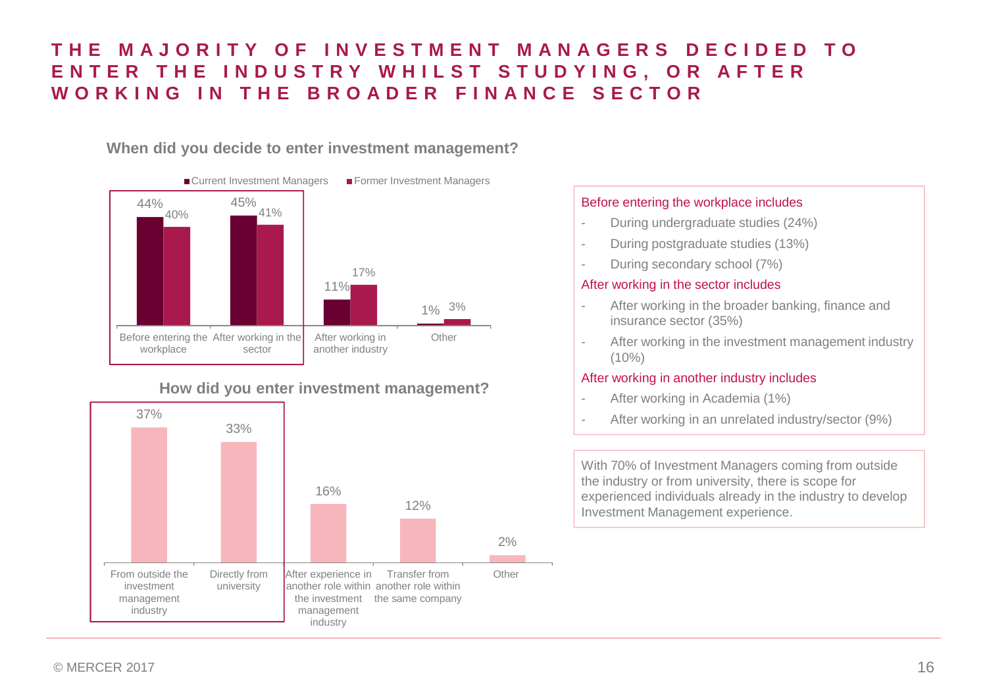### **THE MAJORITY OF INVESTMENT MANAGERS DECIDED TO ENTER THE INDUSTRY WHILST STUDYING, OR AFTER WORKING IN THE BROADER FINANCE SECTOR**

### **When did you decide to enter investment management?**



### **How did you enter investment management?**



### Before entering the workplace includes

- During undergraduate studies (24%)
- During postgraduate studies (13%)
- During secondary school (7%)

#### After working in the sector includes

- After working in the broader banking, finance and insurance sector (35%)
- After working in the investment management industry  $(10\%)$

#### After working in another industry includes

- After working in Academia (1%)
- 

With 70% of Investment Managers coming from outside the industry or from university, there is scope for experienced individuals already in the industry to develop Investment Management experience.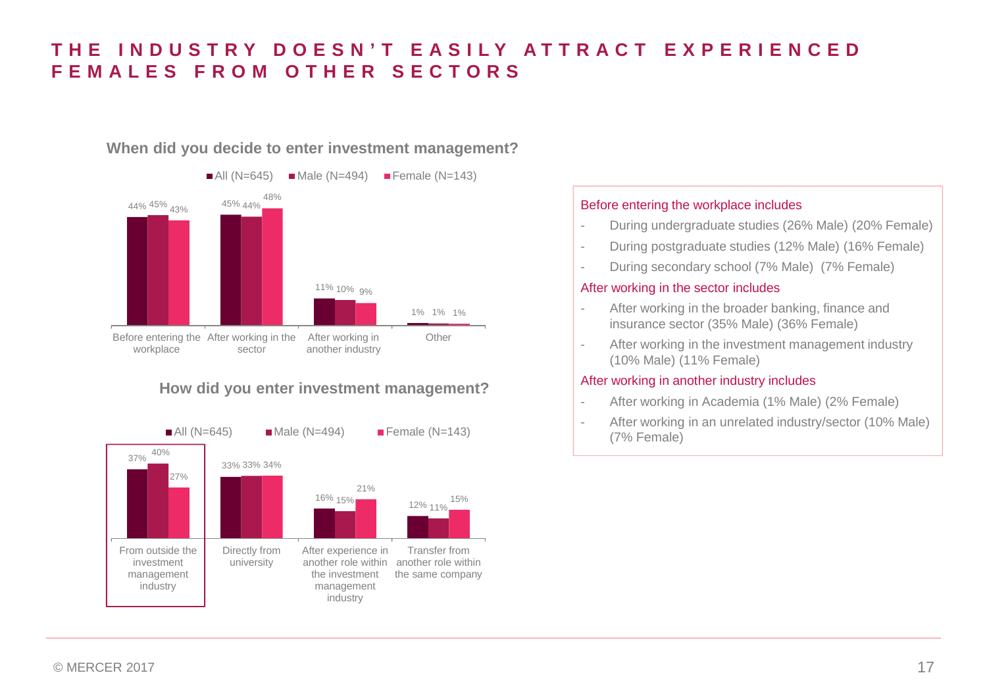### **THE INDUSTRY DOESN'T EASILY ATTRACT EXPERIENCED FEMALES FROM OTHER SECTORS**

### **When did you decide to enter investment management?**



### **How did you enter investment management?**



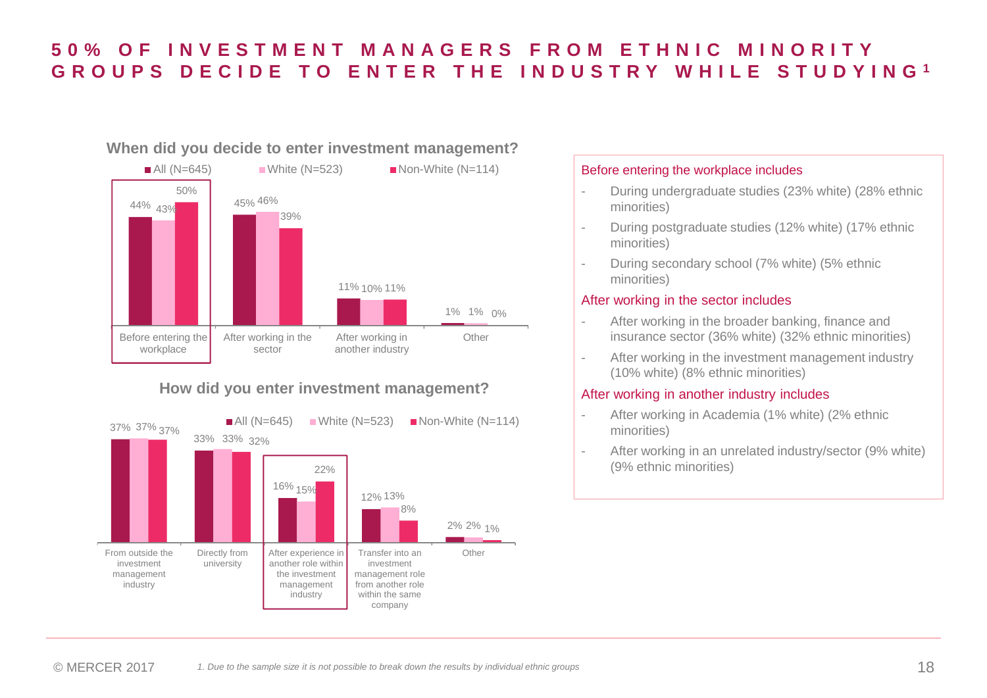### **50% OF INVESTMENT MANAGERS FROM ETHNIC MINORITY GROUPS DECIDE TO ENTER THE INDUSTRY WHILE STUDYING <sup>1</sup>**

### **When did you decide to enter investment management?**



### **How did you enter investment management?**



- During undergraduate studies (23% white) (28% ethnic minorities)
- During postgraduate studies (12% white) (17% ethnic minorities)
- During secondary school (7% white) (5% ethnic minorities)

### After working in the sector includes

- After working in the broader banking, finance and insurance sector (36% white) (32% ethnic minorities)
- After working in the investment management industry (10% white) (8% ethnic minorities)

### After working in another industry includes

- After working in Academia (1% white) (2% ethnic minorities)
- After working in an unrelated industry/sector (9% white) (9% ethnic minorities)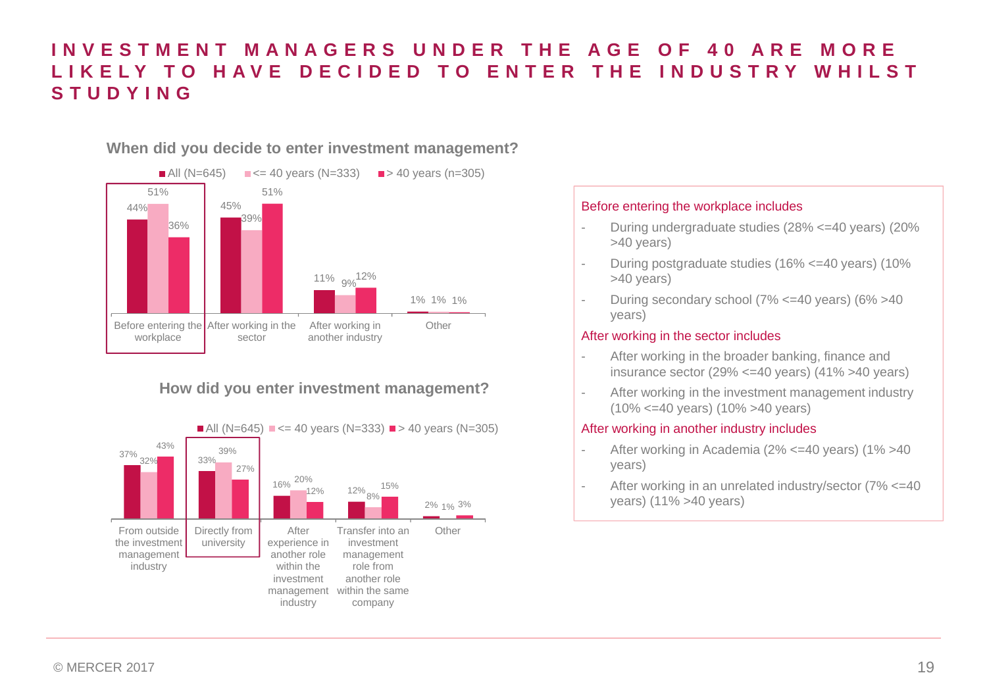### **INVESTMENT MANAGERS UNDER THE AGE OF 40 ARE MORE LIKELY TO HAVE DECIDED TO ENTER THE INDUSTRY WHILST STUDYING**

### **When did you decide to enter investment management?**



### **How did you enter investment management?**



### Before entering the workplace includes

- During undergraduate studies (28% <=40 years) (20% >40 years)
- During postgraduate studies (16% <=40 years) (10% >40 years)
- During secondary school ( $7\%$  <=40 years) ( $6\%$  >40 years)

### After working in the sector includes

- After working in the broader banking, finance and insurance sector (29% <=40 years) (41% >40 years)
- After working in the investment management industry (10% <=40 years) (10% >40 years)

### After working in another industry includes

- After working in Academia (2% <= 40 years) (1% > 40 years)
- After working in an unrelated industry/sector (7% <= 40) years) (11% >40 years)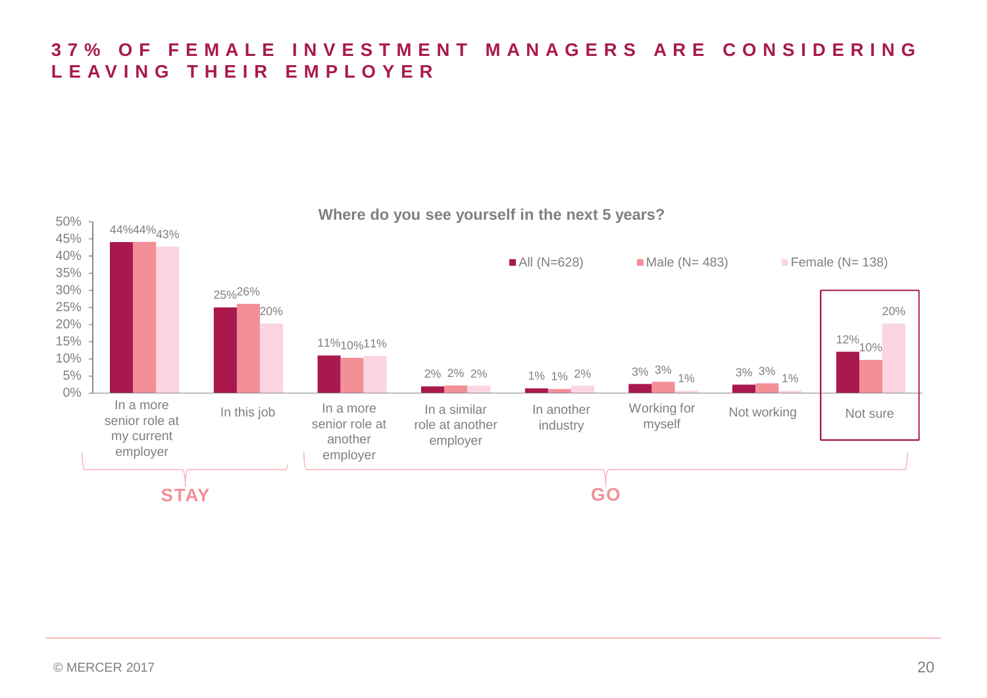### **37% OF FEMALE INVESTMENT MANAGERS ARE CONSIDERING LEAVING THEIR EMPLOYER**

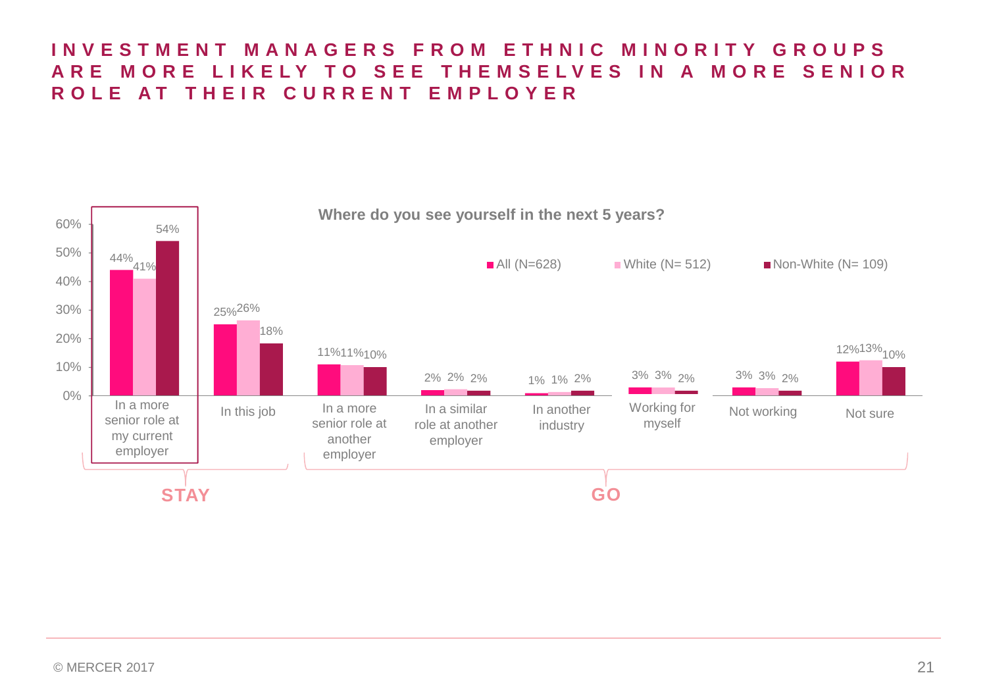### **INVESTMENT MANAGERS FROM ETHNIC MINORITY GROUPS ARE MORE LIKELY TO SEE THEMSELVES IN A MORE SENIOR ROLE AT THEIR CURRENT EMPLOYER**

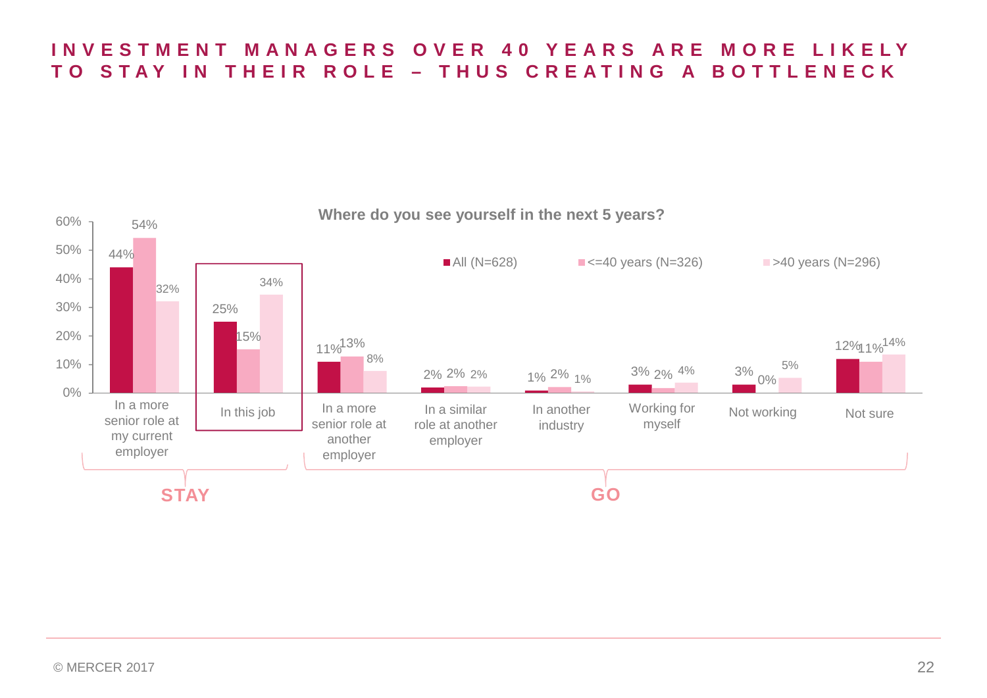### **INVESTMENT MANAGERS OVER 40 YEARS ARE MORE LIKELY TO STAY IN THEIR ROLE – THUS CREATING A BOTTLENECK**

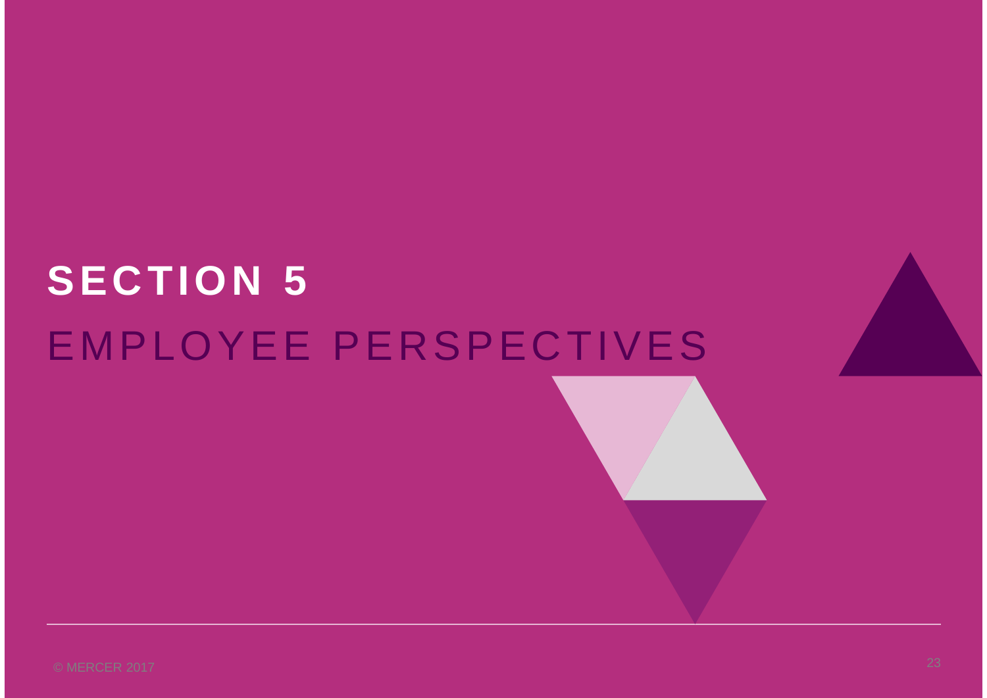# **SECTION 5** EMPLOYEE PERSPECTIVES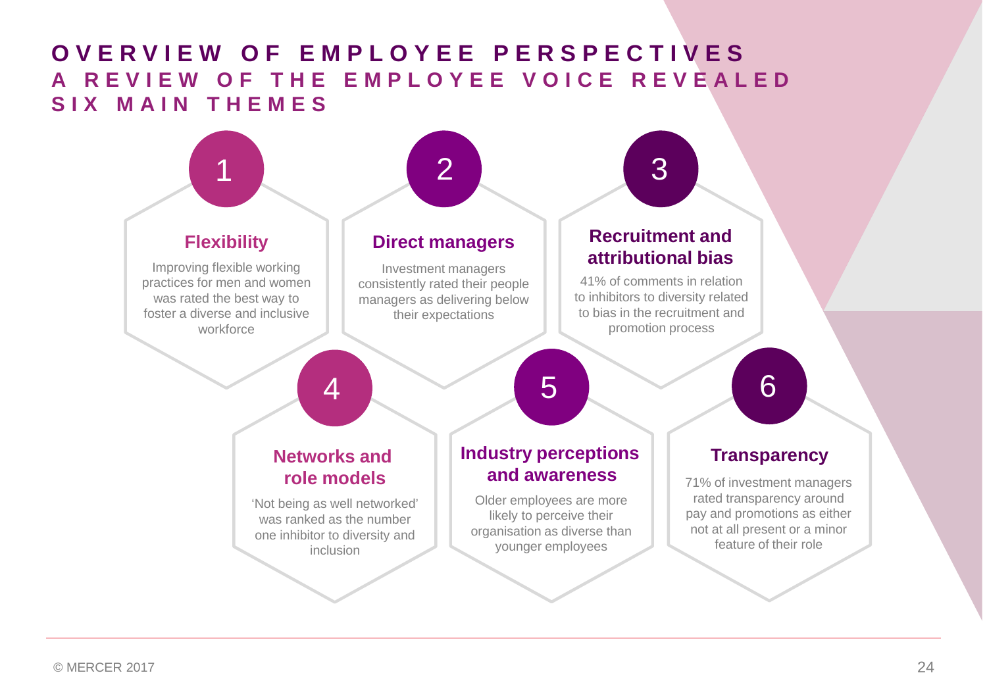## **OVERVIEW OF EMPLOYEE PERSPECTIVES A REVIEW OF THE EMPLOYEE VOICE REVEALED SIX MAIN THEMES**

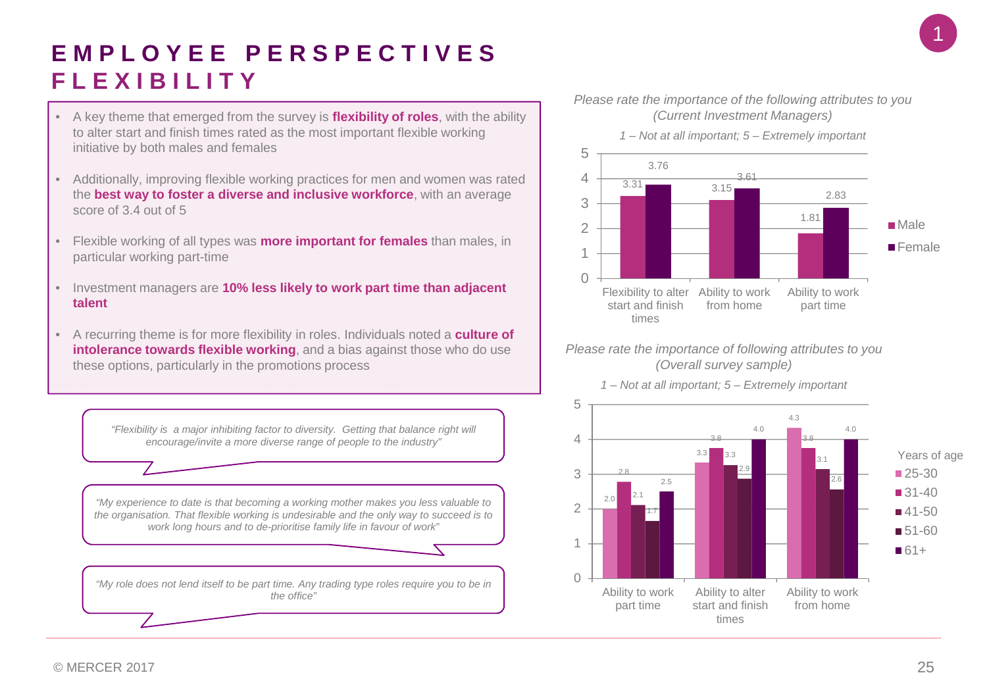# 1

# **EMPLOYEE PERSPECTIVES FLEXIBILITY**

- A key theme that emerged from the survey is **flexibility of roles**, with the ability to alter start and finish times rated as the most important flexible working initiative by both males and females
- Additionally, improving flexible working practices for men and women was rated the **best way to foster a diverse and inclusive workforce**, with an average score of 3.4 out of 5
- Flexible working of all types was **more important for females** than males, in particular working part-time
- Investment managers are **10% less likely to work part time than adjacent talent**
- A recurring theme is for more flexibility in roles. Individuals noted a **culture of intolerance towards flexible working**, and a bias against those who do use these options, particularly in the promotions process

*Please rate the importance of the following attributes to you (Current Investment Managers)*



#### *Please rate the importance of following attributes to you (Overall survey sample)*



*1 – Not at all important; 5 – Extremely important*

*encourage/invite a more diverse range of people to the industry"*

*"Flexibility is a major inhibiting factor to diversity. Getting that balance right will*

*"My experience to date is that becoming a working mother makes you less valuable to the organisation. That flexible working is undesirable and the only way to succeed is to work long hours and to de-prioritise family life in favour of work"*

*"My role does not lend itself to be part time. Any trading type roles require you to be in the office"*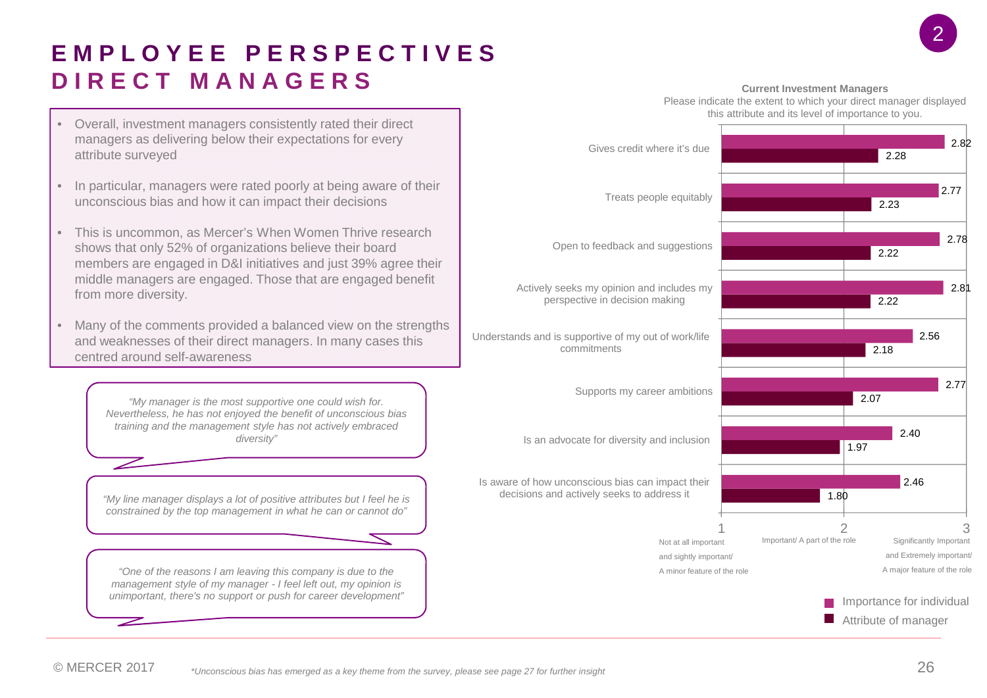# **EMPLOYEE PERSPECTIVES DIRECT MANAGERS**

- Overall, investment managers consistently rated their direct managers as delivering below their expectations for every attribute surveyed
- In particular, managers were rated poorly at being aware of their unconscious bias and how it can impact their decisions
- This is uncommon, as Mercer's When Women Thrive research shows that only 52% of organizations believe their board members are engaged in D&I initiatives and just 39% agree their middle managers are engaged. Those that are engaged benefit from more diversity.
- Many of the comments provided a balanced view on the strengths and weaknesses of their direct managers. In many cases this centred around self-awareness

*"My manager is the most supportive one could wish for. Nevertheless, he has not enjoyed the benefit of unconscious bias training and the management style has not actively embraced diversity"*

*"My line manager displays a lot of positive attributes but I feel he is constrained by the top management in what he can or cannot do"*

*"One of the reasons I am leaving this company is due to the management style of my manager - I feel left out, my opinion is unimportant, there's no support or push for career development"*

#### **Current Investment Managers**

Please indicate the extent to which your direct manager displayed this attribute and its level of importance to you.

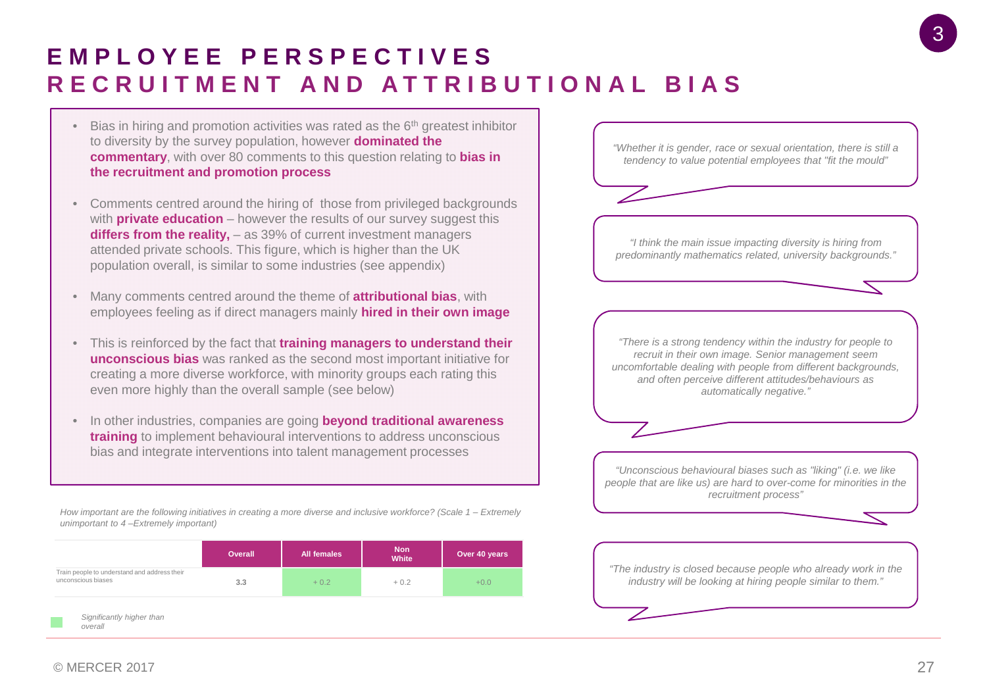# **EMPLOYEE PERSPECTIVES RECRUITMENT AND ATTRIBUTIONAL BIAS**

- $\bullet$  Bias in hiring and promotion activities was rated as the  $6<sup>th</sup>$  greatest inhibitor to diversity by the survey population, however **dominated the commentary**, with over 80 comments to this question relating to **bias in the recruitment and promotion process**
- Comments centred around the hiring of those from privileged backgrounds with **private education** – however the results of our survey suggest this **differs from the reality,** – as 39% of current investment managers attended private schools. This figure, which is higher than the UK population overall, is similar to some industries (see appendix)
- Many comments centred around the theme of **attributional bias**, with employees feeling as if direct managers mainly **hired in their own image**
- This is reinforced by the fact that **training managers to understand their unconscious bias** was ranked as the second most important initiative for creating a more diverse workforce, with minority groups each rating this even more highly than the overall sample (see below)
- In other industries, companies are going **beyond traditional awareness training** to implement behavioural interventions to address unconscious bias and integrate interventions into talent management processes

*How important are the following initiatives in creating a more diverse and inclusive workforce? (Scale 1 – Extremely unimportant to 4 –Extremely important)*

|                                                                    | Overall | <b>All females</b> | <b>Non</b><br>White | Over 40 years |
|--------------------------------------------------------------------|---------|--------------------|---------------------|---------------|
| Train people to understand and address their<br>unconscious biases | 3.3     | $+0.2$             | $+0.2$              | $+0.0$        |
| Significantly higher than<br>overall                               |         |                    |                     |               |

*"Whether it is gender, race or sexual orientation, there is still a tendency to value potential employees that "fit the mould"*

*"I think the main issue impacting diversity is hiring from predominantly mathematics related, university backgrounds."*

*"There is a strong tendency within the industry for people to recruit in their own image. Senior management seem uncomfortable dealing with people from different backgrounds, and often perceive different attitudes/behaviours as automatically negative."*

*"Unconscious behavioural biases such as "liking" (i.e. we like people that are like us) are hard to over-come for minorities in the recruitment process"*

*"The industry is closed because people who already work in the industry will be looking at hiring people similar to them."*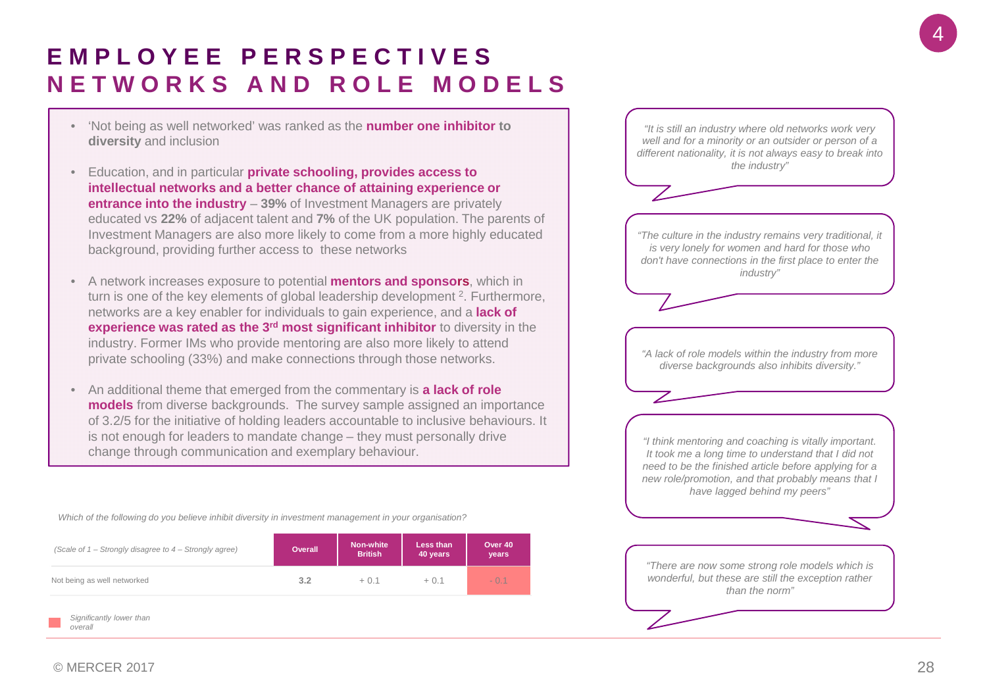# **EMPLOYEE PERSPECTIVES NETWORKS AND ROLE MODELS**

- 'Not being as well networked' was ranked as the **number one inhibitor to diversity** and inclusion
- Education, and in particular **private schooling, provides access to intellectual networks and a better chance of attaining experience or entrance into the industry** – **39%** of Investment Managers are privately educated vs **22%** of adjacent talent and **7%** of the UK population. The parents of Investment Managers are also more likely to come from a more highly educated background, providing further access to these networks
- A network increases exposure to potential **mentors and sponsors**, which in turn is one of the key elements of global leadership development <sup>2</sup>. Furthermore, networks are a key enabler for individuals to gain experience, and a **lack of experience was rated as the 3rd most significant inhibitor** to diversity in the industry. Former IMs who provide mentoring are also more likely to attend private schooling (33%) and make connections through those networks.
- An additional theme that emerged from the commentary is **a lack of role models** from diverse backgrounds. The survey sample assigned an importance of 3.2/5 for the initiative of holding leaders accountable to inclusive behaviours. It is not enough for leaders to mandate change – they must personally drive change through communication and exemplary behaviour.

*"Although hiring protocol and initiatives to attract people from diverse backgrounds is Which of the following do you believe inhibit diversity in investment management in your organisation?*

| (Scale of 1 – Strongly disagree to 4 – Strongly agree) | Overall | <b>Non-white</b><br><b>British</b> | Less than<br>40 years | Over 40<br>years |
|--------------------------------------------------------|---------|------------------------------------|-----------------------|------------------|
| Not being as well networked                            | 3.2     | $+0.1$                             | $+0.1$                | $-0.1$           |
| Significantly lower than<br>overall                    |         |                                    |                       |                  |

*"It is still an industry where old networks work very well and for a minority or an outsider or person of a different nationality, it is not always easy to break into the industry"*

*"The culture in the industry remains very traditional, it is very lonely for women and hard for those who don't have connections in the first place to enter the industry"*

*"A lack of role models within the industry from more diverse backgrounds also inhibits diversity."*

*"I think mentoring and coaching is vitally important. It took me a long time to understand that I did not need to be the finished article before applying for a new role/promotion, and that probably means that I have lagged behind my peers"*

*"There are now some strong role models which is wonderful, but these are still the exception rather than the norm"*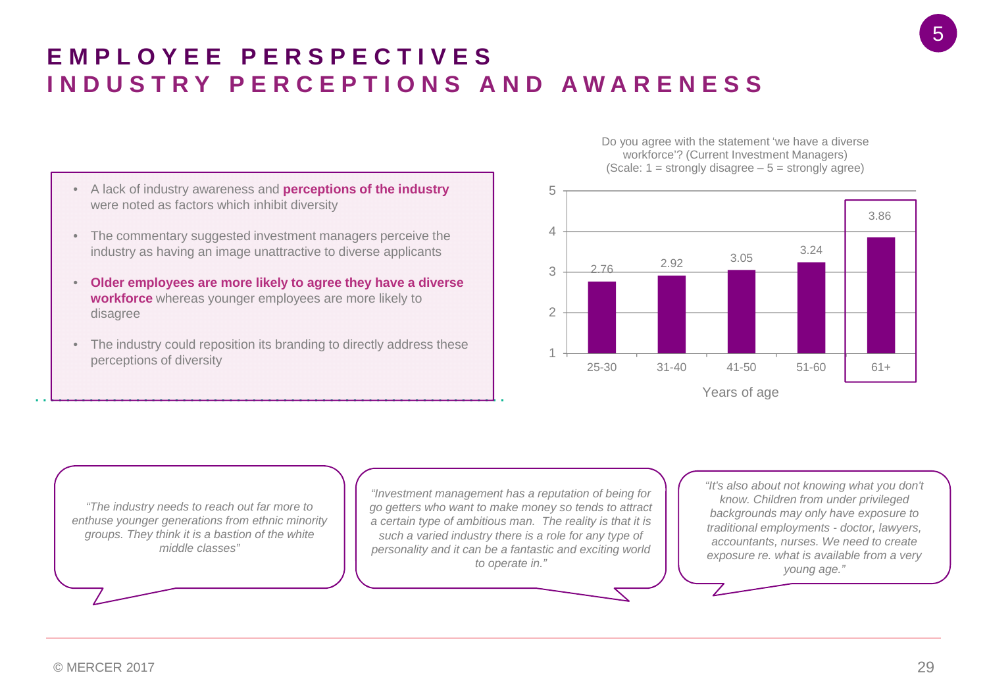- A lack of industry awareness and **perceptions of the industry** were noted as factors which inhibit diversity
- The commentary suggested investment managers perceive the industry as having an image unattractive to diverse applicants
- **Older employees are more likely to agree they have a diverse workforce** whereas younger employees are more likely to disagree
- The industry could reposition its branding to directly address these perceptions of diversity

Do you agree with the statement 'we have a diverse workforce'? (Current Investment Managers) (Scale:  $1 =$  strongly disagree  $-5 =$  strongly agree)



*"The industry needs to reach out far more to enthuse younger generations from ethnic minority groups. They think it is a bastion of the white middle classes"*

*"Investment management has a reputation of being for go getters who want to make money so tends to attract a certain type of ambitious man. The reality is that it is such a varied industry there is a role for any type of personality and it can be a fantastic and exciting world to operate in."*

*"It's also about not knowing what you don't know. Children from under privileged backgrounds may only have exposure to traditional employments - doctor, lawyers, accountants, nurses. We need to create exposure re. what is available from a very young age."*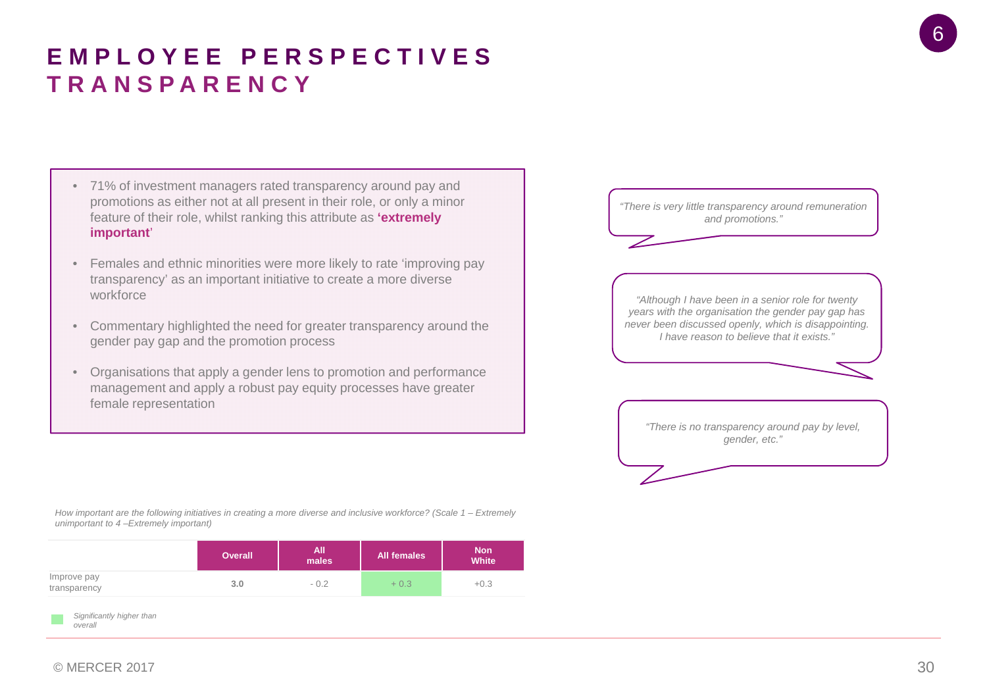#### $\odot$  MERCER 2017  $\ddot{\hspace{1.5cm}}$  30

*overall*

# **EMPLOYEE PERSPECTIVES TRANSPARENCY**

- 71% of investment managers rated transparency around pay and promotions as either not at all present in their role, or only a minor feature of their role, whilst ranking this attribute as **'extremely important**'
- Females and ethnic minorities were more likely to rate 'improving pay transparency' as an important initiative to create a more diverse workforce
- Commentary highlighted the need for greater transparency around the gender pay gap and the promotion process
- Organisations that apply a gender lens to promotion and performance management and apply a robust pay equity processes have greater female representation



*How important are the following initiatives in creating a more diverse and inclusive workforce? (Scale 1 – Extremely unimportant to 4 –Extremely important)*

|                             | <b>Overall</b> | All<br>males | <b>All females</b> | <b>Non</b><br>White |
|-----------------------------|----------------|--------------|--------------------|---------------------|
| Improve pay<br>transparency | 3.0            | $-0.2$       | $+0.3$             | $+0.3$              |
|                             |                |              |                    |                     |

*Significantly higher than*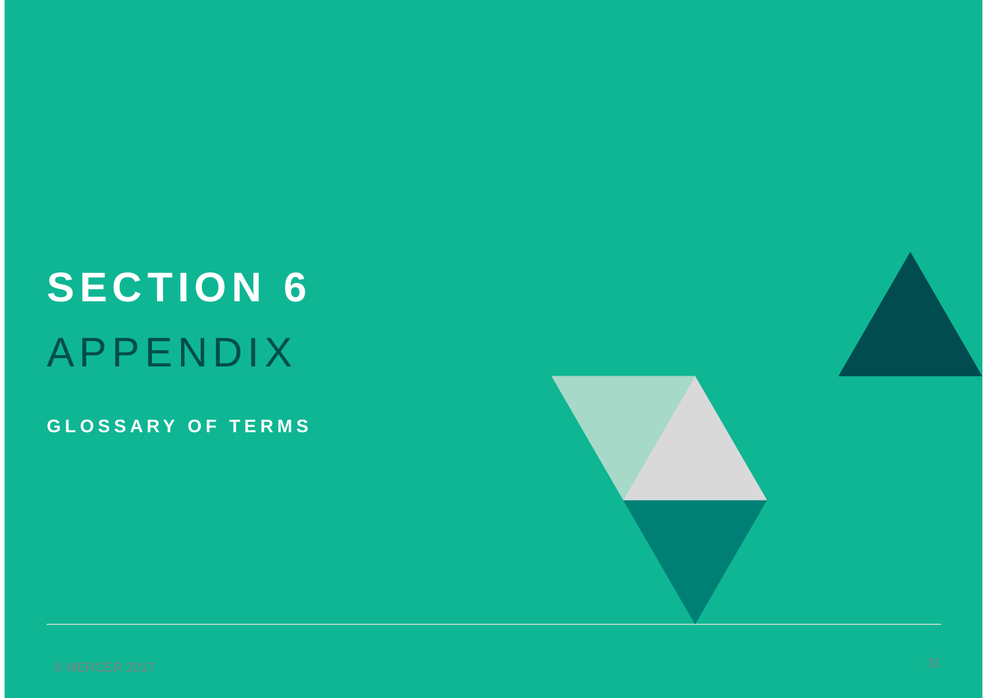# **SECTION 6** APPENDIX

**GLOSSARY OF TERMS**



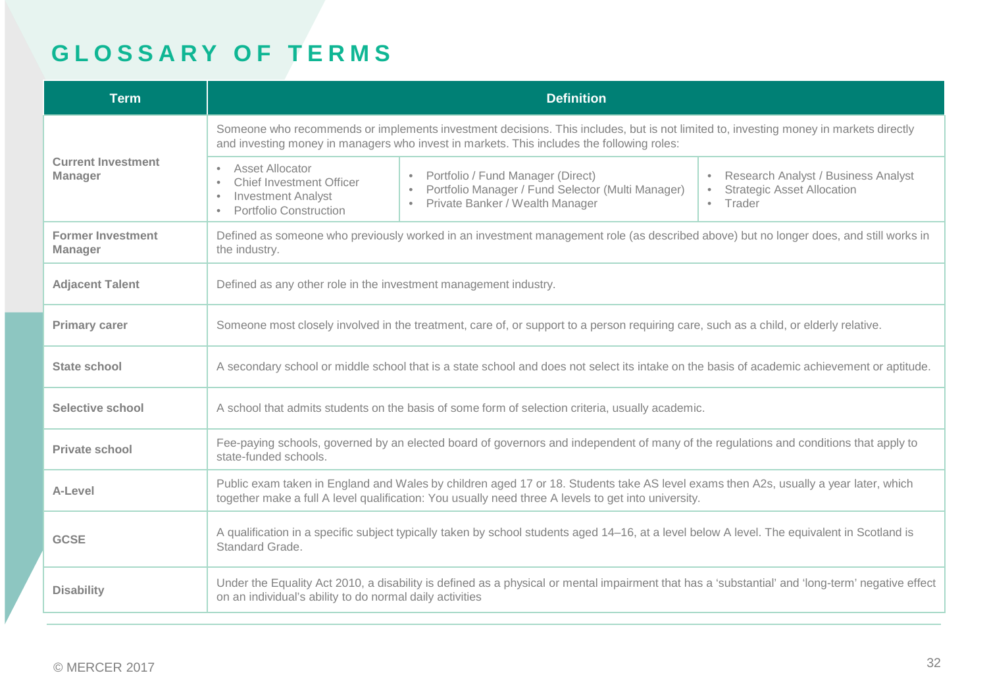# **GLOSSARY OF TERMS**

| <b>Term</b>                                 | <b>Definition</b>                                                                                                                                                                                                                           |                                                                                                                                        |                                                                                                 |  |  |
|---------------------------------------------|---------------------------------------------------------------------------------------------------------------------------------------------------------------------------------------------------------------------------------------------|----------------------------------------------------------------------------------------------------------------------------------------|-------------------------------------------------------------------------------------------------|--|--|
|                                             | Someone who recommends or implements investment decisions. This includes, but is not limited to, investing money in markets directly<br>and investing money in managers who invest in markets. This includes the following roles:           |                                                                                                                                        |                                                                                                 |  |  |
| <b>Current Investment</b><br><b>Manager</b> | Asset Allocator<br>$\bullet$<br><b>Chief Investment Officer</b><br>$\bullet$<br><b>Investment Analyst</b><br>$\bullet$<br><b>Portfolio Construction</b><br>$\bullet$                                                                        | Portfolio / Fund Manager (Direct)<br>Portfolio Manager / Fund Selector (Multi Manager)<br>Private Banker / Wealth Manager<br>$\bullet$ | Research Analyst / Business Analyst<br><b>Strategic Asset Allocation</b><br>Trader<br>$\bullet$ |  |  |
| <b>Former Investment</b><br><b>Manager</b>  | Defined as someone who previously worked in an investment management role (as described above) but no longer does, and still works in<br>the industry.                                                                                      |                                                                                                                                        |                                                                                                 |  |  |
| <b>Adjacent Talent</b>                      | Defined as any other role in the investment management industry.                                                                                                                                                                            |                                                                                                                                        |                                                                                                 |  |  |
| <b>Primary carer</b>                        | Someone most closely involved in the treatment, care of, or support to a person requiring care, such as a child, or elderly relative.                                                                                                       |                                                                                                                                        |                                                                                                 |  |  |
| <b>State school</b>                         | A secondary school or middle school that is a state school and does not select its intake on the basis of academic achievement or aptitude.                                                                                                 |                                                                                                                                        |                                                                                                 |  |  |
| <b>Selective school</b>                     | A school that admits students on the basis of some form of selection criteria, usually academic.                                                                                                                                            |                                                                                                                                        |                                                                                                 |  |  |
| <b>Private school</b>                       | Fee-paying schools, governed by an elected board of governors and independent of many of the regulations and conditions that apply to<br>state-funded schools.                                                                              |                                                                                                                                        |                                                                                                 |  |  |
| A-Level                                     | Public exam taken in England and Wales by children aged 17 or 18. Students take AS level exams then A2s, usually a year later, which<br>together make a full A level qualification: You usually need three A levels to get into university. |                                                                                                                                        |                                                                                                 |  |  |
| <b>GCSE</b>                                 | A qualification in a specific subject typically taken by school students aged 14–16, at a level below A level. The equivalent in Scotland is<br>Standard Grade.                                                                             |                                                                                                                                        |                                                                                                 |  |  |
| <b>Disability</b>                           | Under the Equality Act 2010, a disability is defined as a physical or mental impairment that has a 'substantial' and 'long-term' negative effect<br>on an individual's ability to do normal daily activities                                |                                                                                                                                        |                                                                                                 |  |  |